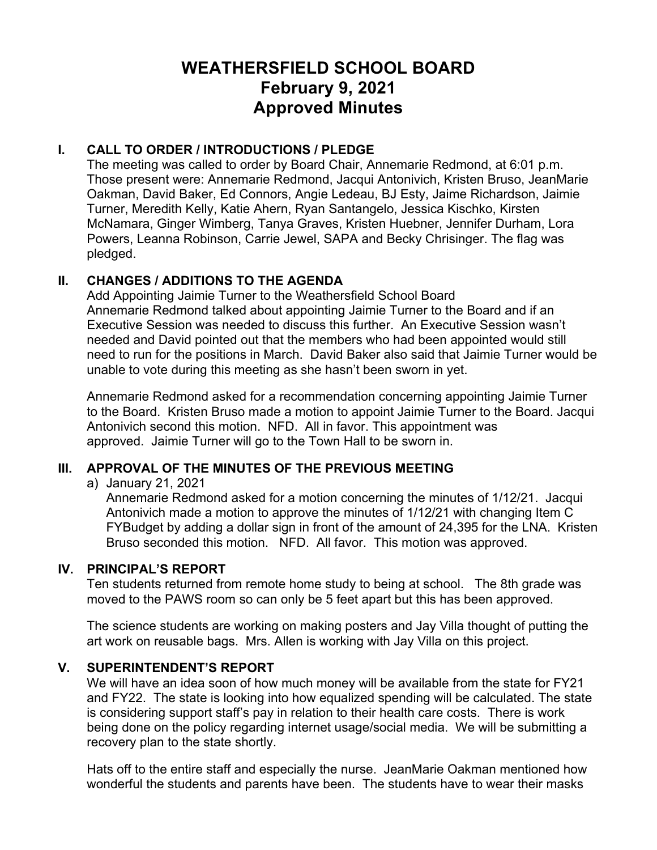# **WEATHERSFIELD SCHOOL BOARD February 9, 2021 Approved Minutes**

# **I. CALL TO ORDER / INTRODUCTIONS / PLEDGE**

The meeting was called to order by Board Chair, Annemarie Redmond, at 6:01 p.m. Those present were: Annemarie Redmond, Jacqui Antonivich, Kristen Bruso, JeanMarie Oakman, David Baker, Ed Connors, Angie Ledeau, BJ Esty, Jaime Richardson, Jaimie Turner, Meredith Kelly, Katie Ahern, Ryan Santangelo, Jessica Kischko, Kirsten McNamara, Ginger Wimberg, Tanya Graves, Kristen Huebner, Jennifer Durham, Lora Powers, Leanna Robinson, Carrie Jewel, SAPA and Becky Chrisinger. The flag was pledged.

#### **II. CHANGES / ADDITIONS TO THE AGENDA**

Add Appointing Jaimie Turner to the Weathersfield School Board Annemarie Redmond talked about appointing Jaimie Turner to the Board and if an Executive Session was needed to discuss this further. An Executive Session wasn't needed and David pointed out that the members who had been appointed would still need to run for the positions in March. David Baker also said that Jaimie Turner would be unable to vote during this meeting as she hasn't been sworn in yet.

Annemarie Redmond asked for a recommendation concerning appointing Jaimie Turner to the Board. Kristen Bruso made a motion to appoint Jaimie Turner to the Board. Jacqui Antonivich second this motion. NFD. All in favor. This appointment was approved. Jaimie Turner will go to the Town Hall to be sworn in.

# **III. APPROVAL OF THE MINUTES OF THE PREVIOUS MEETING**

a) January 21, 2021

Annemarie Redmond asked for a motion concerning the minutes of 1/12/21. Jacqui Antonivich made a motion to approve the minutes of 1/12/21 with changing Item C FYBudget by adding a dollar sign in front of the amount of 24,395 for the LNA. Kristen Bruso seconded this motion. NFD. All favor. This motion was approved.

#### **IV. PRINCIPAL'S REPORT**

Ten students returned from remote home study to being at school. The 8th grade was moved to the PAWS room so can only be 5 feet apart but this has been approved.

The science students are working on making posters and Jay Villa thought of putting the art work on reusable bags. Mrs. Allen is working with Jay Villa on this project.

#### **V. SUPERINTENDENT'S REPORT**

We will have an idea soon of how much money will be available from the state for FY21 and FY22. The state is looking into how equalized spending will be calculated. The state is considering support staff's pay in relation to their health care costs. There is work being done on the policy regarding internet usage/social media. We will be submitting a recovery plan to the state shortly.

Hats off to the entire staff and especially the nurse. JeanMarie Oakman mentioned how wonderful the students and parents have been. The students have to wear their masks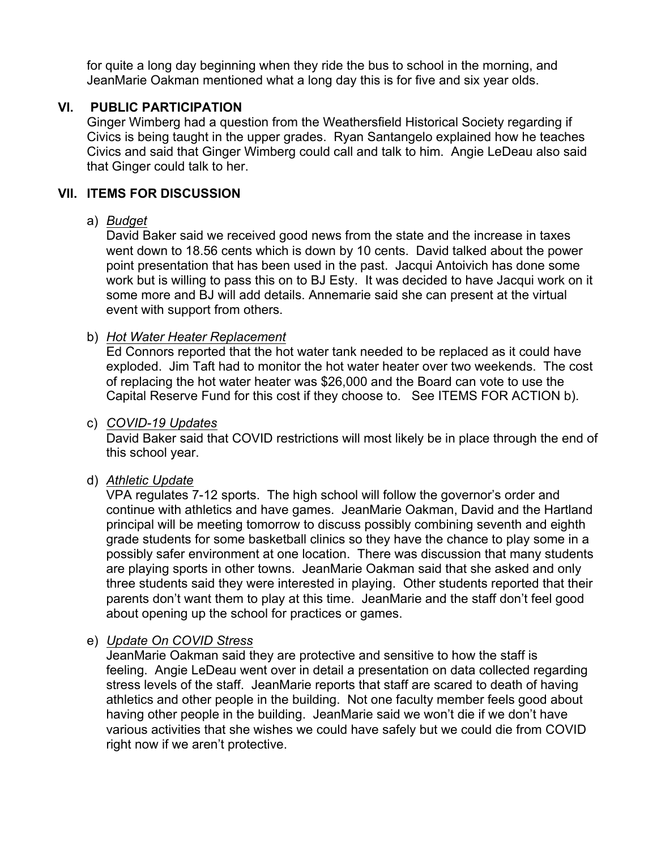for quite a long day beginning when they ride the bus to school in the morning, and JeanMarie Oakman mentioned what a long day this is for five and six year olds.

# **VI. PUBLIC PARTICIPATION**

Ginger Wimberg had a question from the Weathersfield Historical Society regarding if Civics is being taught in the upper grades. Ryan Santangelo explained how he teaches Civics and said that Ginger Wimberg could call and talk to him. Angie LeDeau also said that Ginger could talk to her.

## **VII. ITEMS FOR DISCUSSION**

#### a) *Budget*

David Baker said we received good news from the state and the increase in taxes went down to 18.56 cents which is down by 10 cents. David talked about the power point presentation that has been used in the past. Jacqui Antoivich has done some work but is willing to pass this on to BJ Esty. It was decided to have Jacqui work on it some more and BJ will add details. Annemarie said she can present at the virtual event with support from others.

b) *Hot Water Heater Replacement*

Ed Connors reported that the hot water tank needed to be replaced as it could have exploded. Jim Taft had to monitor the hot water heater over two weekends. The cost of replacing the hot water heater was \$26,000 and the Board can vote to use the Capital Reserve Fund for this cost if they choose to. See ITEMS FOR ACTION b).

#### c) *COVID-19 Updates*

David Baker said that COVID restrictions will most likely be in place through the end of this school year.

#### d) *Athletic Update*

VPA regulates 7-12 sports. The high school will follow the governor's order and continue with athletics and have games. JeanMarie Oakman, David and the Hartland principal will be meeting tomorrow to discuss possibly combining seventh and eighth grade students for some basketball clinics so they have the chance to play some in a possibly safer environment at one location. There was discussion that many students are playing sports in other towns. JeanMarie Oakman said that she asked and only three students said they were interested in playing. Other students reported that their parents don't want them to play at this time. JeanMarie and the staff don't feel good about opening up the school for practices or games.

# e) *Update On COVID Stress*

JeanMarie Oakman said they are protective and sensitive to how the staff is feeling. Angie LeDeau went over in detail a presentation on data collected regarding stress levels of the staff. JeanMarie reports that staff are scared to death of having athletics and other people in the building. Not one faculty member feels good about having other people in the building. JeanMarie said we won't die if we don't have various activities that she wishes we could have safely but we could die from COVID right now if we aren't protective.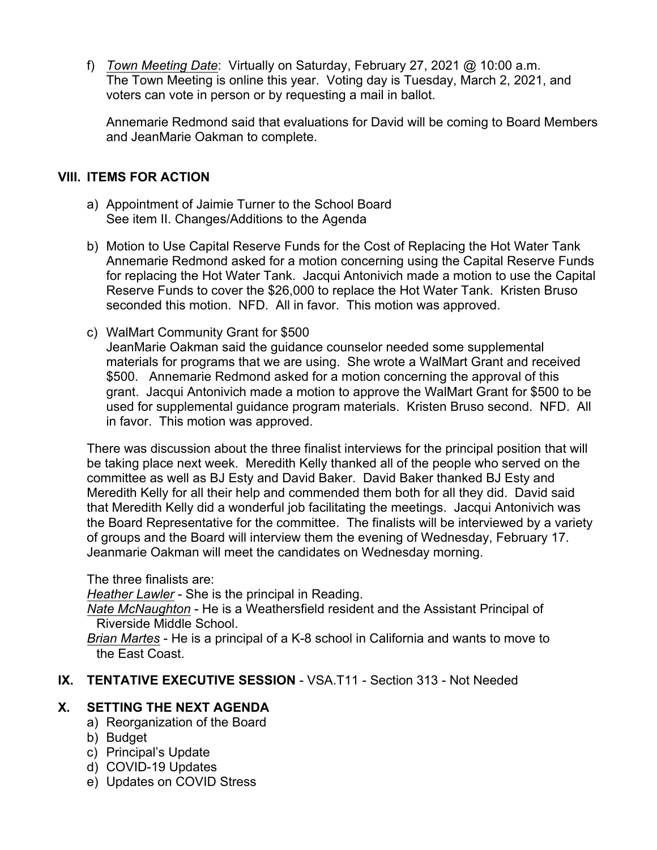f) *Town Meeting Date*: Virtually on Saturday, February 27, 2021 @ 10:00 a.m. The Town Meeting is online this year. Voting day is Tuesday, March 2, 2021, and voters can vote in person or by requesting a mail in ballot.

Annemarie Redmond said that evaluations for David will be coming to Board Members and JeanMarie Oakman to complete.

# **VIII. ITEMS FOR ACTION**

- a) Appointment of Jaimie Turner to the School Board See item II. Changes/Additions to the Agenda
- b) Motion to Use Capital Reserve Funds for the Cost of Replacing the Hot Water Tank Annemarie Redmond asked for a motion concerning using the Capital Reserve Funds for replacing the Hot Water Tank. Jacqui Antonivich made a motion to use the Capital Reserve Funds to cover the \$26,000 to replace the Hot Water Tank. Kristen Bruso seconded this motion. NFD. All in favor. This motion was approved.
- c) WalMart Community Grant for \$500 JeanMarie Oakman said the guidance counselor needed some supplemental materials for programs that we are using. She wrote a WalMart Grant and received \$500. Annemarie Redmond asked for a motion concerning the approval of this grant. Jacqui Antonivich made a motion to approve the WalMart Grant for \$500 to be used for supplemental guidance program materials. Kristen Bruso second. NFD. All in favor. This motion was approved.

There was discussion about the three finalist interviews for the principal position that will be taking place next week. Meredith Kelly thanked all of the people who served on the committee as well as BJ Esty and David Baker. David Baker thanked BJ Esty and Meredith Kelly for all their help and commended them both for all they did. David said that Meredith Kelly did a wonderful job facilitating the meetings. Jacqui Antonivich was the Board Representative for the committee. The finalists will be interviewed by a variety of groups and the Board will interview them the evening of Wednesday, February 17. Jeanmarie Oakman will meet the candidates on Wednesday morning.

The three finalists are:

*Heather Lawler* - She is the principal in Reading.

*Nate McNaughton* - He is a Weathersfield resident and the Assistant Principal of Riverside Middle School.

*Brian Martes* - He is a principal of a K-8 school in California and wants to move to the East Coast.

# **IX. TENTATIVE EXECUTIVE SESSION** - VSA.T11 - Section 313 - Not Needed

# **X. SETTING THE NEXT AGENDA**

- a) Reorganization of the Board
- b) Budget
- c) Principal's Update
- d) COVID-19 Updates
- e) Updates on COVID Stress